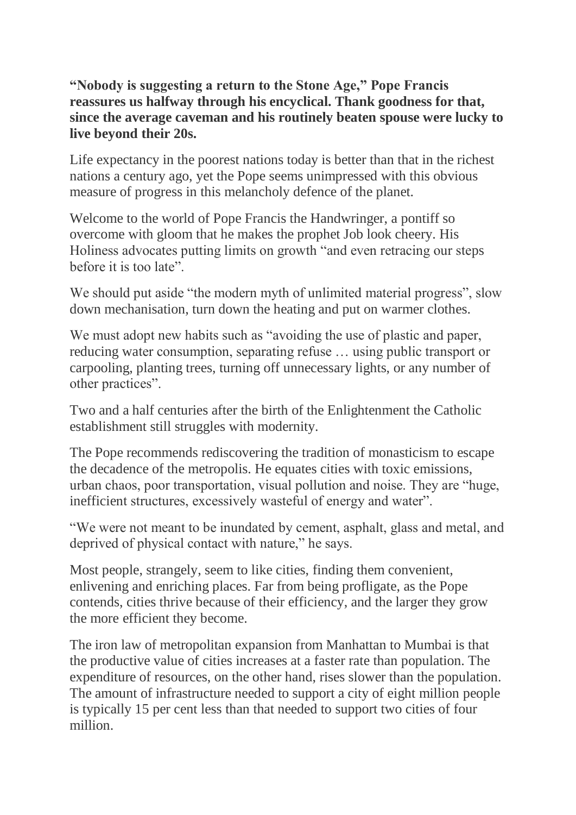**"Nobody is suggesting a return to the Stone Age," Pope Francis reassures us halfway through his encyclical. Thank goodness for that, since the average caveman and his routinely beaten spouse were lucky to live beyond their 20s.**

Life expectancy in the poorest nations today is better than that in the richest nations a century ago, yet the Pope seems unimpressed with this obvious measure of progress in this melancholy defence of the planet.

Welcome to the world of Pope Francis the Handwringer, a pontiff so overcome with gloom that he makes the prophet Job look cheery. His Holiness advocates putting limits on growth "and even retracing our steps before it is too late".

We should put aside "the modern myth of unlimited material progress", slow down mechanisation, turn down the heating and put on warmer clothes.

We must adopt new habits such as "avoiding the use of plastic and paper, reducing water consumption, separating refuse … using public transport or carpooling, planting trees, turning off unnecessary lights, or any number of other practices".

Two and a half centuries after the birth of the Enlightenment the Catholic establishment still struggles with modernity.

The Pope recommends rediscovering the tradition of monasticism to escape the decadence of the metropolis. He equates cities with toxic emissions, urban chaos, poor transportation, visual pollution and noise. They are "huge, inefficient structures, excessively wasteful of energy and water".

"We were not meant to be inundated by cement, asphalt, glass and metal, and deprived of physical contact with nature," he says.

Most people, strangely, seem to like cities, finding them convenient, enlivening and enriching places. Far from being profligate, as the Pope contends, cities thrive because of their efficiency, and the larger they grow the more efficient they become.

The iron law of metropolitan expansion from Manhattan to Mumbai is that the productive value of cities increases at a faster rate than population. The expenditure of resources, on the other hand, rises slower than the population. The amount of infrastructure needed to support a city of eight million people is typically 15 per cent less than that needed to support two cities of four million.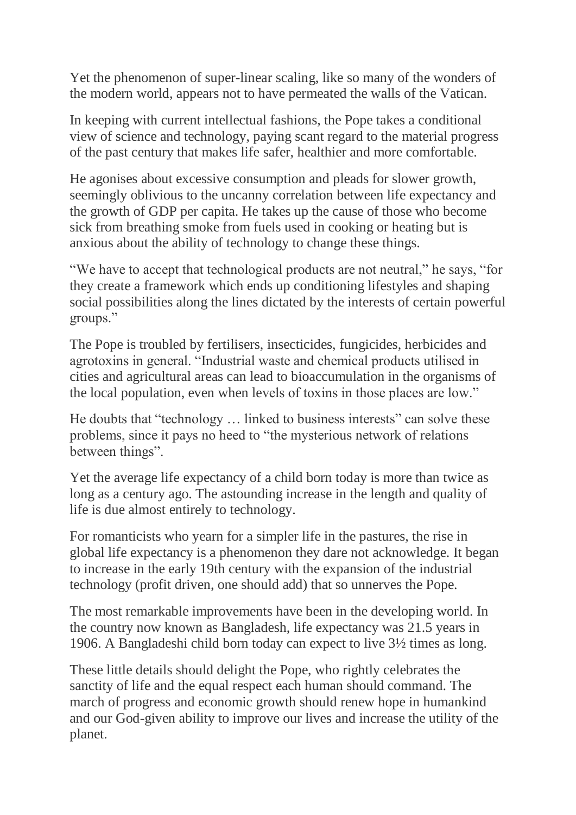Yet the phenomenon of super-linear scaling, like so many of the wonders of the modern world, appears not to have permeated the walls of the Vatican.

In keeping with current intellectual fashions, the Pope takes a conditional view of science and technology, paying scant regard to the material progress of the past century that makes life safer, healthier and more comfortable.

He agonises about excessive consumption and pleads for slower growth, seemingly oblivious to the uncanny correlation between life expectancy and the growth of GDP per capita. He takes up the cause of those who become sick from breathing smoke from fuels used in cooking or heating but is anxious about the ability of technology to change these things.

"We have to accept that technological products are not neutral," he says, "for they create a framework which ends up conditioning lifestyles and shaping social possibilities along the lines dictated by the interests of certain powerful groups."

The Pope is troubled by fertilisers, insecticides, fungicides, herbicides and agrotoxins in general. "Industrial waste and chemical products utilised in cities and agricultural areas can lead to bioaccumulation in the organisms of the local population, even when levels of toxins in those places are low."

He doubts that "technology … linked to business interests" can solve these problems, since it pays no heed to "the mysterious network of relations between things".

Yet the average life expectancy of a child born today is more than twice as long as a century ago. The astounding increase in the length and quality of life is due almost entirely to technology.

For romanticists who yearn for a simpler life in the pastures, the rise in global life expectancy is a phenomenon they dare not acknowledge. It began to increase in the early 19th century with the expansion of the industrial technology (profit driven, one should add) that so unnerves the Pope.

The most remarkable improvements have been in the developing world. In the country now known as Bangladesh, life expectancy was 21.5 years in 1906. A Bangladeshi child born today can expect to live 3½ times as long.

These little details should delight the Pope, who rightly celebrates the sanctity of life and the equal respect each human should command. The march of progress and economic growth should renew hope in humankind and our God-given ability to improve our lives and increase the utility of the planet.